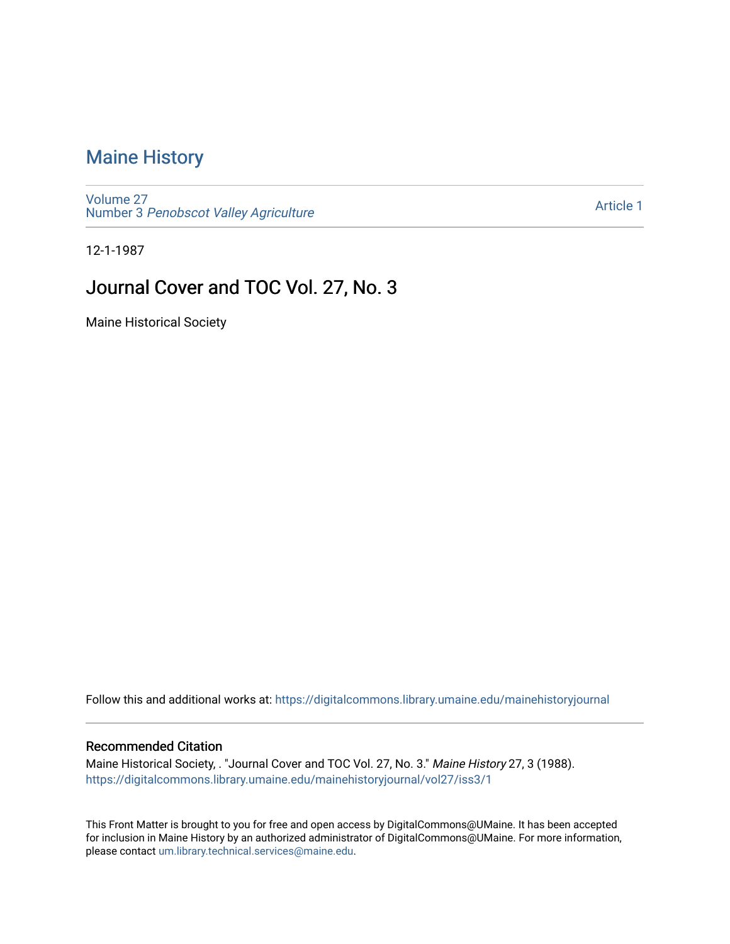# [Maine History](https://digitalcommons.library.umaine.edu/mainehistoryjournal)

[Volume 27](https://digitalcommons.library.umaine.edu/mainehistoryjournal/vol27) Number 3 [Penobscot Valley Agriculture](https://digitalcommons.library.umaine.edu/mainehistoryjournal/vol27/iss3)

[Article 1](https://digitalcommons.library.umaine.edu/mainehistoryjournal/vol27/iss3/1) 

12-1-1987

# Journal Cover and TOC Vol. 27, No. 3

Maine Historical Society

Follow this and additional works at: [https://digitalcommons.library.umaine.edu/mainehistoryjournal](https://digitalcommons.library.umaine.edu/mainehistoryjournal?utm_source=digitalcommons.library.umaine.edu%2Fmainehistoryjournal%2Fvol27%2Fiss3%2F1&utm_medium=PDF&utm_campaign=PDFCoverPages) 

### Recommended Citation

Maine Historical Society, . "Journal Cover and TOC Vol. 27, No. 3." Maine History 27, 3 (1988). [https://digitalcommons.library.umaine.edu/mainehistoryjournal/vol27/iss3/1](https://digitalcommons.library.umaine.edu/mainehistoryjournal/vol27/iss3/1?utm_source=digitalcommons.library.umaine.edu%2Fmainehistoryjournal%2Fvol27%2Fiss3%2F1&utm_medium=PDF&utm_campaign=PDFCoverPages)

This Front Matter is brought to you for free and open access by DigitalCommons@UMaine. It has been accepted for inclusion in Maine History by an authorized administrator of DigitalCommons@UMaine. For more information, please contact [um.library.technical.services@maine.edu.](mailto:um.library.technical.services@maine.edu)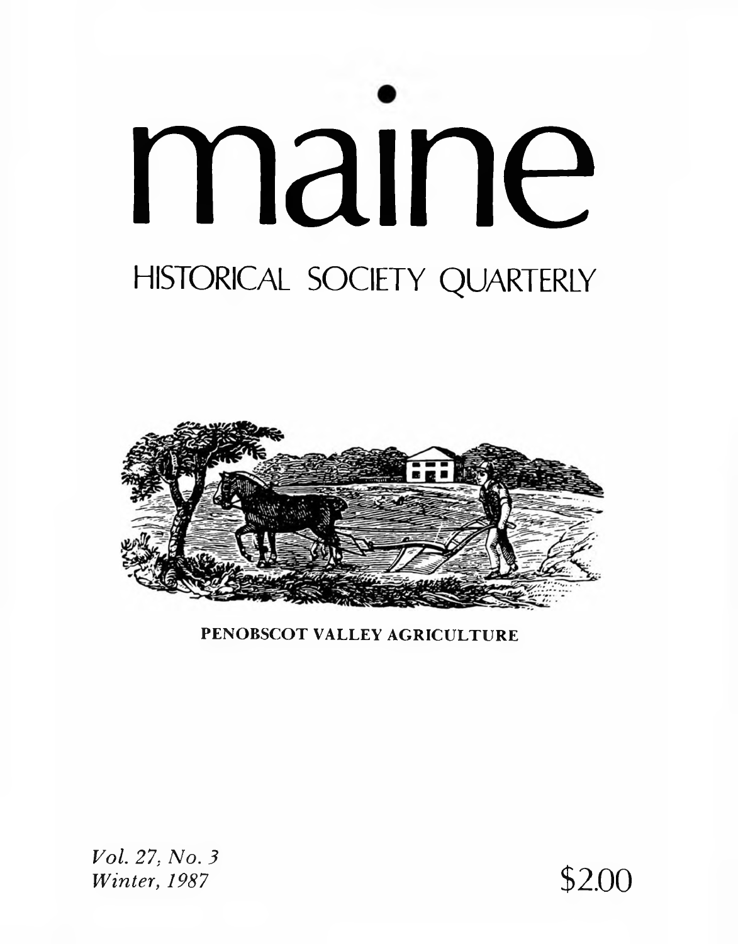# maine HISTORICAL SOCIETY QUARTERLY



PENOBSCOT VALLEY AGRICULTURE

*Vol. 27; No. 3 Winter, 1987* \$2.00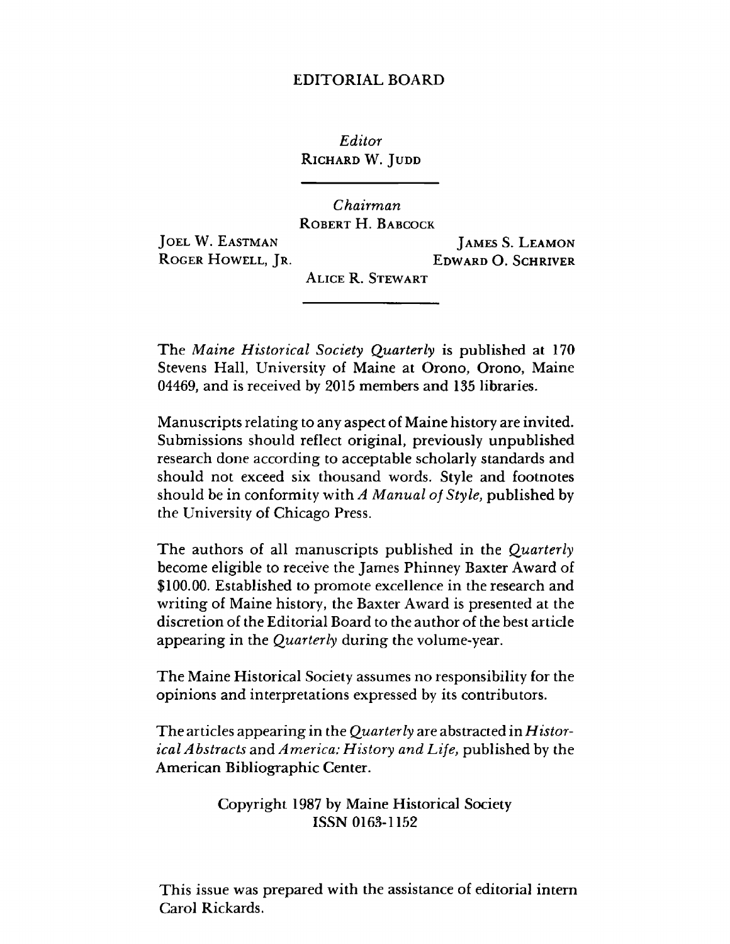### **EDITORIAL BOARD**

*Editor* **Richard** W. **Judd**

*Chairman* **Robert H. Babcock**

**Joel** W. **Eastman Roger Howell, Jr.**

**James S. Leamon Edward** O. **Schriver**

**Alice** R. **Stewart**

The *M aine Historical Society Quarterly* is published at 170 Stevens Hall, University of Maine at Orono, Orono, Maine 04469, and is received by 2015 members and 135 libraries.

Manuscripts relating to any aspect of Maine history are invited. Submissions should reflect original, previously unpublished research done according to acceptable scholarly standards and should not exceed six thousand words. Style and footnotes should be in conformity with *A Manual of Style*, published by the University of Chicago Press.

The authors of all manuscripts published in the *Quarterly* become eligible to receive the James Phinney Baxter Award of \$100.00. Established to promote excellence in the research and writing of Maine history, the Baxter Award is presented at the discretion of the Editorial Board to the author of the best article appearing in the *Quarterly* during the volume-year.

The Maine Historical Society assumes no responsibility for the opinions and interpretations expressed by its contributors.

The articles appearing in the *Quarterly* are abstracted in *H istorical Abstracts* and *America: H istory and L ife*, published by the American Bibliographic Center.

### Copyright 1987 by Maine Historical Society ISSN 0163-1152

This issue was prepared with the assistance of editorial intern Carol Rickards.